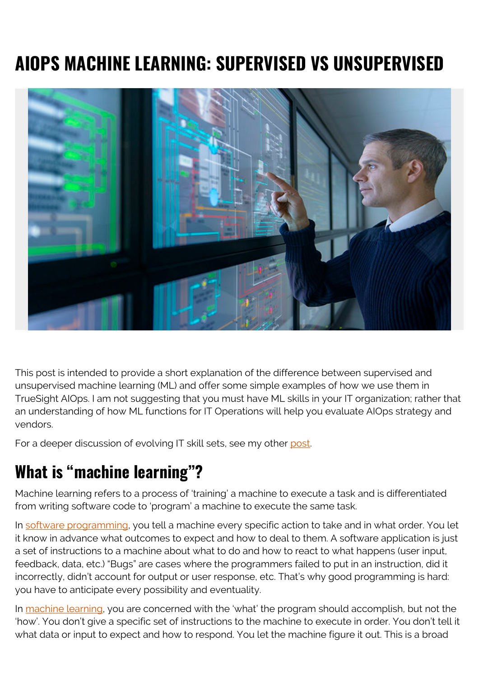# **AIOPS MACHINE LEARNING: SUPERVISED VS UNSUPERVISED**



This post is intended to provide a short explanation of the difference between supervised and unsupervised machine learning (ML) and offer some simple examples of how we use them in TrueSight AIOps. I am not suggesting that you must have ML skills in your IT organization; rather that an understanding of how ML functions for IT Operations will help you evaluate AIOps strategy and vendors.

For a deeper discussion of evolving IT skill sets, see my other [post](https://blogs.bmc.com/blogs/aiops-and-the-new-it-skill-sets/).

### **What is "machine learning"?**

Machine learning refers to a process of 'training' a machine to execute a task and is differentiated from writing software code to 'program' a machine to execute the same task.

In [software programming](https://learn.org/articles/What_is_Software_Programming.html), you tell a machine every specific action to take and in what order. You let it know in advance what outcomes to expect and how to deal to them. A software application is just a set of instructions to a machine about what to do and how to react to what happens (user input, feedback, data, etc.) "Bugs" are cases where the programmers failed to put in an instruction, did it incorrectly, didn't account for output or user response, etc. That's why good programming is hard: you have to anticipate every possibility and eventuality.

In [machine learning,](https://www.sas.com/en_us/insights/analytics/machine-learning.html) you are concerned with the 'what' the program should accomplish, but not the 'how'. You don't give a specific set of instructions to the machine to execute in order. You don't tell it what data or input to expect and how to respond. You let the machine figure it out. This is a broad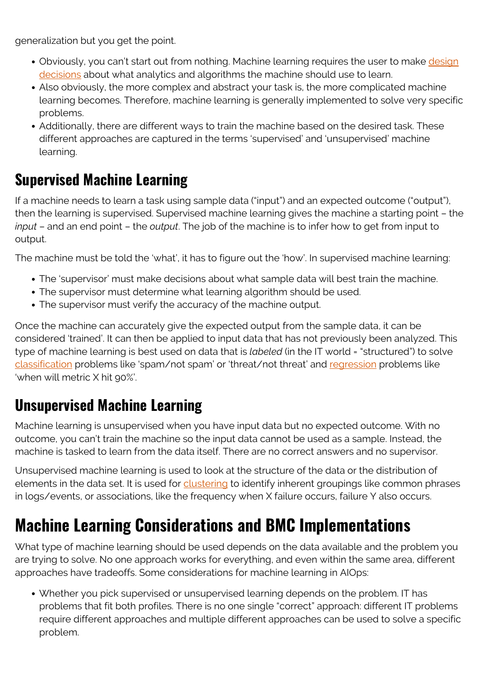generalization but you get the point.

- Obviously, you can't start out from nothing. Machine learning requires the user to make [design](https://digitalist.global/talks/the-designers-guide-to-machine-learning/) [decisions](https://digitalist.global/talks/the-designers-guide-to-machine-learning/) about what analytics and algorithms the machine should use to learn.
- Also obviously, the more complex and abstract your task is, the more complicated machine learning becomes. Therefore, machine learning is generally implemented to solve very specific problems.
- Additionally, there are different ways to train the machine based on the desired task. These different approaches are captured in the terms 'supervised' and 'unsupervised' machine learning.

#### **Supervised Machine Learning**

If a machine needs to learn a task using sample data ("input") and an expected outcome ("output"), then the learning is supervised. Supervised machine learning gives the machine a starting point – the *input* – and an end point – the *output*. The job of the machine is to infer how to get from input to output.

The machine must be told the 'what', it has to figure out the 'how'. In supervised machine learning:

- The 'supervisor' must make decisions about what sample data will best train the machine.
- The supervisor must determine what learning algorithm should be used.
- The supervisor must verify the accuracy of the machine output.

Once the machine can accurately give the expected output from the sample data, it can be considered 'trained'. It can then be applied to input data that has not previously been analyzed. This type of machine learning is best used on data that is *labeled* (in the IT world = "structured") to solve [classification](https://medium.com/datadriveninvestor/classification-algorithms-in-machine-learning-85c0ab65ff4) problems like 'spam/not spam' or 'threat/not threat' and [regression](https://medium.com/datadriveninvestor/regression-in-machine-learning-296caae933ec) problems like 'when will metric X hit 90%'.

#### **Unsupervised Machine Learning**

Machine learning is unsupervised when you have input data but no expected outcome. With no outcome, you can't train the machine so the input data cannot be used as a sample. Instead, the machine is tasked to learn from the data itself. There are no correct answers and no supervisor.

Unsupervised machine learning is used to look at the structure of the data or the distribution of elements in the data set. It is used for [clustering](https://www.analyticsvidhya.com/blog/2016/11/an-introduction-to-clustering-and-different-methods-of-clustering/) to identify inherent groupings like common phrases in logs/events, or associations, like the frequency when X failure occurs, failure Y also occurs.

# **Machine Learning Considerations and BMC Implementations**

What type of machine learning should be used depends on the data available and the problem you are trying to solve. No one approach works for everything, and even within the same area, different approaches have tradeoffs. Some considerations for machine learning in AIOps:

Whether you pick supervised or unsupervised learning depends on the problem. IT has problems that fit both profiles. There is no one single "correct" approach: different IT problems require different approaches and multiple different approaches can be used to solve a specific problem.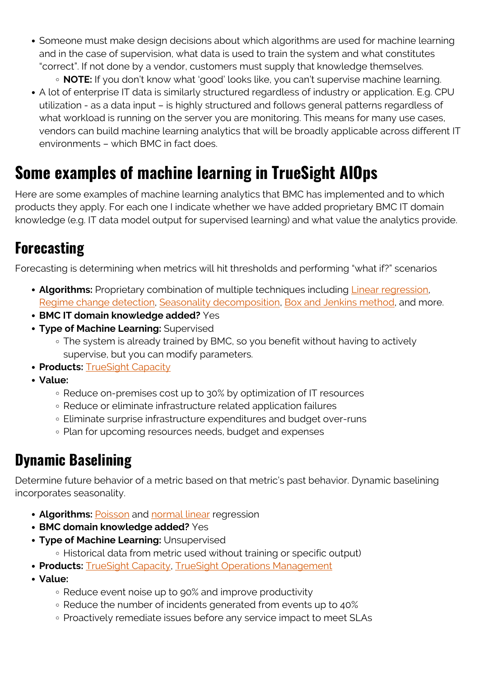Someone must make design decisions about which algorithms are used for machine learning and in the case of supervision, what data is used to train the system and what constitutes "correct". If not done by a vendor, customers must supply that knowledge themselves.

**NOTE:** If you don't know what 'good' looks like, you can't supervise machine learning.

A lot of enterprise IT data is similarly structured regardless of industry or application. E.g. CPU utilization - as a data input – is highly structured and follows general patterns regardless of what workload is running on the server you are monitoring. This means for many use cases, vendors can build machine learning analytics that will be broadly applicable across different IT environments – which BMC in fact does.

# **Some examples of machine learning in TrueSight AIOps**

Here are some examples of machine learning analytics that BMC has implemented and to which products they apply. For each one I indicate whether we have added proprietary BMC IT domain knowledge (e.g. IT data model output for supervised learning) and what value the analytics provide.

#### **Forecasting**

Forecasting is determining when metrics will hit thresholds and performing "what if?" scenarios

- **Algorithms:** Proprietary combination of multiple techniques including [Linear regression](https://blogs.bmc.com/blogs/sgd-linear-regression-example-apache-spark/), [Regime change detection](https://forecasters.org/wp-content/uploads/SAS-IIF-Report-Federspiel-Seifert-Newman.pdf), [Seasonality decomposition](https://machinelearningmastery.com/decompose-time-series-data-trend-seasonality/), [Box and Jenkins method](https://ncss-wpengine.netdna-ssl.com/wp-content/themes/ncss/pdf/Procedures/NCSS/The_Box-Jenkins_Method.pdf), and more.
- **BMC IT domain knowledge added?** Yes
- **Type of Machine Learning:** Supervised
	- The system is already trained by BMC, so you benefit without having to actively supervise, but you can modify parameters.
- **Products:** [TrueSight Capacity](https://blogs.bmc.com/it-solutions/capacity-optimization.html)
- **Value:**
	- Reduce on-premises cost up to 30% by optimization of IT resources
	- Reduce or eliminate infrastructure related application failures
	- Eliminate surprise infrastructure expenditures and budget over-runs
	- Plan for upcoming resources needs, budget and expenses

### **Dynamic Baselining**

Determine future behavior of a metric based on that metric's past behavior. Dynamic baselining incorporates seasonality.

- **Algorithms: [Poisson](https://web.archive.org/web/20190110135423/https://data.princeton.edu/wws509/notes/c4.pdf) and [normal linear](https://en.wikipedia.org/wiki/Linear_regression) regression**
- **BMC domain knowledge added?** Yes
- **Type of Machine Learning:** Unsupervised
	- Historical data from metric used without training or specific output)
- **Products: [TrueSight Capacity](https://blogs.bmc.com/it-solutions/capacity-optimization.html), [TrueSight Operations Management](https://blogs.bmc.com/it-solutions/truesight-operations-management.html)**
- **Value:**
	- Reduce event noise up to 90% and improve productivity
	- Reduce the number of incidents generated from events up to 40%
	- Proactively remediate issues before any service impact to meet SLAs